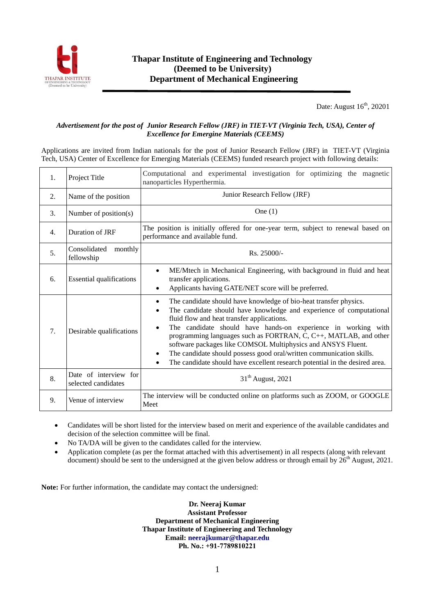

Date: August 16<sup>th</sup>, 20201

## *Advertisement for the post of Junior Research Fellow (JRF) in TIET-VT (Virginia Tech, USA), Center of Excellence for Emergine Materials (CEEMS)*

Applications are invited from Indian nationals for the post of Junior Research Fellow (JRF) in TIET-VT (Virginia Tech, USA) Center of Excellence for Emerging Materials (CEEMS) funded research project with following details:

| 1. | Project Title                                | Computational and experimental investigation for optimizing the magnetic<br>nanoparticles Hyperthermia.                                                                                                                                                                                                                                                                                                                                                                                                                                                                              |  |  |  |  |  |  |
|----|----------------------------------------------|--------------------------------------------------------------------------------------------------------------------------------------------------------------------------------------------------------------------------------------------------------------------------------------------------------------------------------------------------------------------------------------------------------------------------------------------------------------------------------------------------------------------------------------------------------------------------------------|--|--|--|--|--|--|
| 2. | Name of the position                         | Junior Research Fellow (JRF)                                                                                                                                                                                                                                                                                                                                                                                                                                                                                                                                                         |  |  |  |  |  |  |
| 3. | Number of position(s)                        | One $(1)$                                                                                                                                                                                                                                                                                                                                                                                                                                                                                                                                                                            |  |  |  |  |  |  |
| 4. | Duration of JRF                              | The position is initially offered for one-year term, subject to renewal based on<br>performance and available fund.                                                                                                                                                                                                                                                                                                                                                                                                                                                                  |  |  |  |  |  |  |
| 5. | Consolidated<br>monthly<br>fellowship        | Rs. 25000/-                                                                                                                                                                                                                                                                                                                                                                                                                                                                                                                                                                          |  |  |  |  |  |  |
| 6. | <b>Essential qualifications</b>              | ME/Mtech in Mechanical Engineering, with background in fluid and heat<br>transfer applications.<br>Applicants having GATE/NET score will be preferred.<br>٠                                                                                                                                                                                                                                                                                                                                                                                                                          |  |  |  |  |  |  |
| 7. | Desirable qualifications                     | The candidate should have knowledge of bio-heat transfer physics.<br>٠<br>The candidate should have knowledge and experience of computational<br>$\bullet$<br>fluid flow and heat transfer applications.<br>The candidate should have hands-on experience in working with<br>programming languages such as FORTRAN, $C, C++, MATLAB$ , and other<br>software packages like COMSOL Multiphysics and ANSYS Fluent.<br>The candidate should possess good oral/written communication skills.<br>The candidate should have excellent research potential in the desired area.<br>$\bullet$ |  |  |  |  |  |  |
| 8. | Date of interview for<br>selected candidates | $31th$ August, 2021                                                                                                                                                                                                                                                                                                                                                                                                                                                                                                                                                                  |  |  |  |  |  |  |
| 9. | Venue of interview                           | The interview will be conducted online on platforms such as ZOOM, or GOOGLE<br>Meet                                                                                                                                                                                                                                                                                                                                                                                                                                                                                                  |  |  |  |  |  |  |

- Candidates will be short listed for the interview based on merit and experience of the available candidates and decision of the selection committee will be final.
- No TA/DA will be given to the candidates called for the interview.
- Application complete (as per the format attached with this advertisement) in all respects (along with relevant document) should be sent to the undersigned at the given below address or through email by 26<sup>th</sup> August, 2021.

**Note:** For further information, the candidate may contact the undersigned:

**Dr. Neeraj Kumar Assistant Professor Department of Mechanical Engineering Thapar Institute of Engineering and Technology Email[: neerajkumar@thapar.edu](mailto:neerajkumar@thapar.edu) Ph. No.: +91-7789810221**